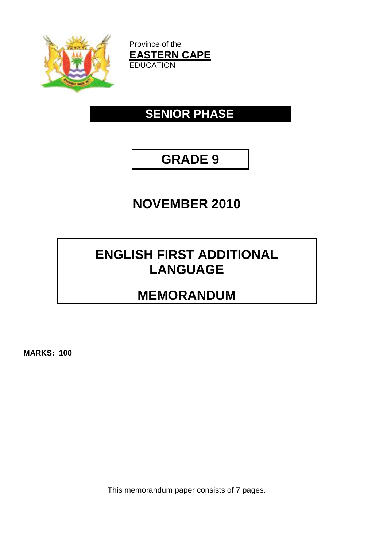

Province of the **EASTERN CAPE EDUCATION** 

# **SENIOR PHASE**

# **GRADE 9**

## **NOVEMBER 2010**

## **ENGLISH FIRST ADDITIONAL LANGUAGE**

# **MEMORANDUM**

**MARKS: 100**

This memorandum paper consists of 7 pages.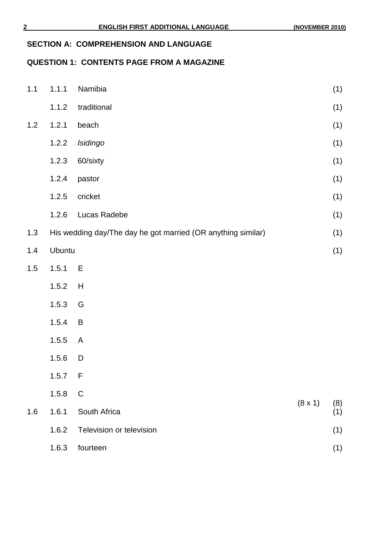#### **SECTION A: COMPREHENSION AND LANGUAGE**

## **QUESTION 1: CONTENTS PAGE FROM A MAGAZINE**

| $1.1$ | 1.1.1                                                        | Namibia                  |                | (1)        |
|-------|--------------------------------------------------------------|--------------------------|----------------|------------|
|       | 1.1.2                                                        | traditional              |                | (1)        |
| $1.2$ | 1.2.1                                                        | beach                    |                | (1)        |
|       | 1.2.2                                                        | Isidingo                 |                | (1)        |
|       | 1.2.3                                                        | 60/sixty                 |                | (1)        |
|       | 1.2.4                                                        | pastor                   |                | (1)        |
|       | 1.2.5                                                        | cricket                  |                | (1)        |
|       | 1.2.6                                                        | Lucas Radebe             |                | (1)        |
| 1.3   | His wedding day/The day he got married (OR anything similar) |                          |                | (1)        |
| 1.4   |                                                              | Ubuntu                   |                | (1)        |
| $1.5$ | 1.5.1                                                        | E                        |                |            |
|       | 1.5.2                                                        | H                        |                |            |
|       | 1.5.3                                                        | G                        |                |            |
|       | 1.5.4                                                        | B                        |                |            |
|       | 1.5.5                                                        | A                        |                |            |
|       | 1.5.6                                                        | D                        |                |            |
|       | 1.5.7                                                        | F                        |                |            |
|       | 1.5.8                                                        | $\mathsf C$              |                |            |
| 1.6   | 1.6.1                                                        | South Africa             | $(8 \times 1)$ | (8)<br>(1) |
|       | 1.6.2                                                        | Television or television |                | (1)        |
|       | 1.6.3                                                        | fourteen                 |                | (1)        |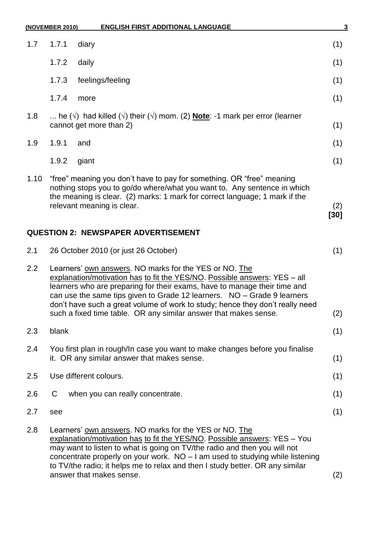|      | <b>ENGLISH FIRST ADDITIONAL LANGUAGE</b><br>(NOVEMBER 2010)                                                                                                                                                                                                                                                                                                                                                                                      | 3           |  |
|------|--------------------------------------------------------------------------------------------------------------------------------------------------------------------------------------------------------------------------------------------------------------------------------------------------------------------------------------------------------------------------------------------------------------------------------------------------|-------------|--|
| 1.7  | 1.7.1<br>diary                                                                                                                                                                                                                                                                                                                                                                                                                                   | (1)         |  |
|      | 1.7.2<br>daily                                                                                                                                                                                                                                                                                                                                                                                                                                   | (1)         |  |
|      | 1.7.3<br>feelings/feeling                                                                                                                                                                                                                                                                                                                                                                                                                        | (1)         |  |
|      | 1.7.4<br>more                                                                                                                                                                                                                                                                                                                                                                                                                                    | (1)         |  |
| 1.8  | he ( $\sqrt{ }$ ) had killed ( $\sqrt{ }$ ) their ( $\sqrt{ }$ ) mom. (2) <b>Note</b> : -1 mark per error (learner<br>cannot get more than 2)                                                                                                                                                                                                                                                                                                    |             |  |
| 1.9  | 1.9.1<br>and                                                                                                                                                                                                                                                                                                                                                                                                                                     | (1)         |  |
|      | 1.9.2<br>giant                                                                                                                                                                                                                                                                                                                                                                                                                                   | (1)         |  |
| 1.10 | "free" meaning you don't have to pay for something. OR "free" meaning<br>nothing stops you to go/do where/what you want to. Any sentence in which<br>the meaning is clear. (2) marks: 1 mark for correct language; 1 mark if the<br>relevant meaning is clear.                                                                                                                                                                                   | (2)<br>[30] |  |
|      | <b>QUESTION 2: NEWSPAPER ADVERTISEMENT</b>                                                                                                                                                                                                                                                                                                                                                                                                       |             |  |
| 2.1  | 26 October 2010 (or just 26 October)                                                                                                                                                                                                                                                                                                                                                                                                             | (1)         |  |
| 2.2  | Learners' own answers. NO marks for the YES or NO. The<br>explanation/motivation has to fit the YES/NO. Possible answers: YES - all<br>learners who are preparing for their exams, have to manage their time and<br>can use the same tips given to Grade 12 learners. NO - Grade 9 learners<br>don't have such a great volume of work to study; hence they don't really need<br>such a fixed time table. OR any similar answer that makes sense. | (2)         |  |
| 2.3  | blank                                                                                                                                                                                                                                                                                                                                                                                                                                            | (1)         |  |
| 2.4  | You first plan in rough/In case you want to make changes before you finalise<br>it. OR any similar answer that makes sense.                                                                                                                                                                                                                                                                                                                      | (1)         |  |
| 2.5  | Use different colours.                                                                                                                                                                                                                                                                                                                                                                                                                           | (1)         |  |
| 2.6  | when you can really concentrate.<br>C                                                                                                                                                                                                                                                                                                                                                                                                            | (1)         |  |
| 2.7  | see                                                                                                                                                                                                                                                                                                                                                                                                                                              | (1)         |  |
| 2.8  | Learners' own answers. NO marks for the YES or NO. The<br>explanation/motivation has to fit the YES/NO. Possible answers: YES - You<br>may want to listen to what is going on TV/the radio and then you will not<br>concentrate properly on your work. $NO - I$ am used to studying while listening<br>to TV/the radio; it helps me to relax and then I study better. OR any similar<br>answer that makes sense.                                 | (2)         |  |
|      |                                                                                                                                                                                                                                                                                                                                                                                                                                                  |             |  |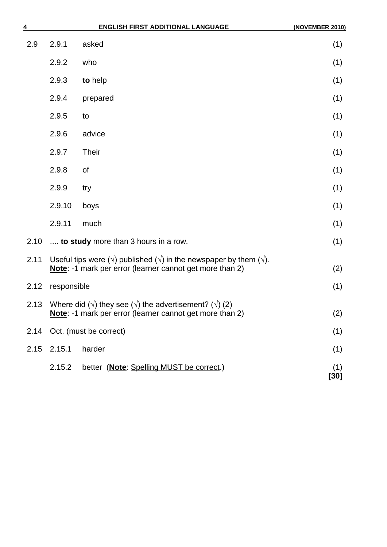| $\frac{4}{1}$ |                                                                                                                                                                      | <b>ENGLISH FIRST ADDITIONAL LANGUAGE</b> | (NOVEMBER 2010) |
|---------------|----------------------------------------------------------------------------------------------------------------------------------------------------------------------|------------------------------------------|-----------------|
| 2.9           | 2.9.1                                                                                                                                                                | asked                                    | (1)             |
|               | 2.9.2                                                                                                                                                                | who                                      | (1)             |
|               | 2.9.3                                                                                                                                                                | to help                                  | (1)             |
|               | 2.9.4                                                                                                                                                                | prepared                                 | (1)             |
|               | 2.9.5                                                                                                                                                                | to                                       | (1)             |
|               | 2.9.6                                                                                                                                                                | advice                                   | (1)             |
|               | 2.9.7                                                                                                                                                                | <b>Their</b>                             | (1)             |
|               | 2.9.8                                                                                                                                                                | of                                       | (1)             |
|               | 2.9.9                                                                                                                                                                | try                                      | (1)             |
|               | 2.9.10                                                                                                                                                               | boys                                     | (1)             |
|               | 2.9.11                                                                                                                                                               | much                                     | (1)             |
| 2.10          | to study more than 3 hours in a row.                                                                                                                                 |                                          | (1)             |
| 2.11          | Useful tips were ( $\sqrt{ }$ ) published ( $\sqrt{ }$ ) in the newspaper by them ( $\sqrt{ }$ ).<br>Note: -1 mark per error (learner cannot get more than 2)<br>(2) |                                          |                 |
| 2.12          | responsible                                                                                                                                                          |                                          | (1)             |
| 2.13          | Where did ( $\sqrt{ }$ ) they see ( $\sqrt{ }$ ) the advertisement? ( $\sqrt{ }$ ) (2)<br>Note: -1 mark per error (learner cannot get more than 2)                   | (2)                                      |                 |
| 2.14          | Oct. (must be correct)                                                                                                                                               |                                          | (1)             |
| 2.15          | 2.15.1                                                                                                                                                               | harder                                   | (1)             |
|               | 2.15.2                                                                                                                                                               | better (Note: Spelling MUST be correct.) | (1)<br>[30]     |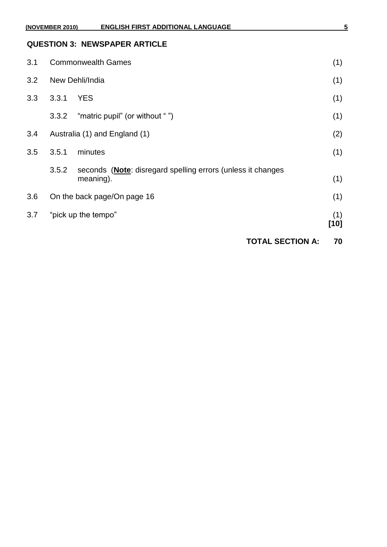| (NOVEMBER 2010) |                               | <b>ENGLISH FIRST ADDITIONAL LANGUAGE</b>                                          |                         | 5             |
|-----------------|-------------------------------|-----------------------------------------------------------------------------------|-------------------------|---------------|
|                 |                               | <b>QUESTION 3: NEWSPAPER ARTICLE</b>                                              |                         |               |
| 3.1             | <b>Commonwealth Games</b>     |                                                                                   |                         | (1)           |
| 3.2             | New Dehli/India               |                                                                                   | (1)                     |               |
| 3.3             | 3.3.1                         | <b>YES</b>                                                                        |                         | (1)           |
|                 | 3.3.2                         | "matric pupil" (or without "")                                                    |                         | (1)           |
| 3.4             | Australia (1) and England (1) |                                                                                   | (2)                     |               |
| 3.5             | 3.5.1                         | minutes                                                                           |                         | (1)           |
|                 | 3.5.2                         | seconds ( <b>Note</b> : disregard spelling errors (unless it changes<br>meaning). |                         | (1)           |
| 3.6             | On the back page/On page 16   |                                                                                   | (1)                     |               |
| 3.7             |                               | "pick up the tempo"                                                               |                         | (1)<br>$[10]$ |
|                 |                               |                                                                                   | <b>TOTAL SECTION A:</b> | 70            |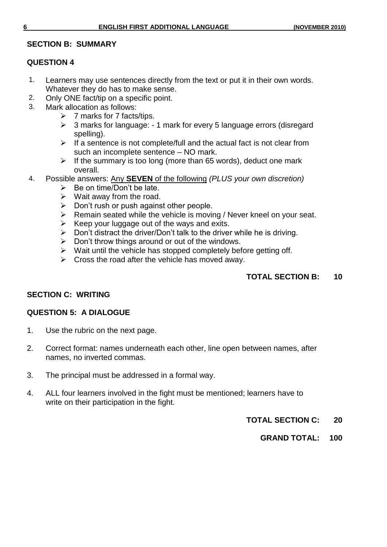#### **SECTION B: SUMMARY**

#### **QUESTION 4**

- 1. Learners may use sentences directly from the text or put it in their own words. Whatever they do has to make sense.
- 2. Only ONE fact/tip on a specific point.
- 3. Mark allocation as follows:
	- $\triangleright$  7 marks for 7 facts/tips.
	- $\geq$  3 marks for language: 1 mark for every 5 language errors (disregard spelling).
	- $\triangleright$  If a sentence is not complete/full and the actual fact is not clear from such an incomplete sentence – NO mark.
	- $\triangleright$  If the summary is too long (more than 65 words), deduct one mark overall.
- 4. Possible answers: Any **SEVEN** of the following *(PLUS your own discretion)*
	- $\triangleright$  Be on time/Don't be late.
	- $\triangleright$  Wait away from the road.
	- $\triangleright$  Don't rush or push against other people.
	- $\triangleright$  Remain seated while the vehicle is moving / Never kneel on your seat.
	- $\triangleright$  Keep your luggage out of the ways and exits.
	- $\triangleright$  Don't distract the driver/Don't talk to the driver while he is driving.
	- $\triangleright$  Don't throw things around or out of the windows.
	- $\triangleright$  Wait until the vehicle has stopped completely before getting off.
	- $\triangleright$  Cross the road after the vehicle has moved away.

### **TOTAL SECTION B: 10**

#### **SECTION C: WRITING**

#### **QUESTION 5: A DIALOGUE**

- 1. Use the rubric on the next page.
- 2. Correct format: names underneath each other, line open between names, after names, no inverted commas.
- 3. The principal must be addressed in a formal way.
- 4. ALL four learners involved in the fight must be mentioned; learners have to write on their participation in the fight.
	- **TOTAL SECTION C: 20**
		- **GRAND TOTAL: 100**